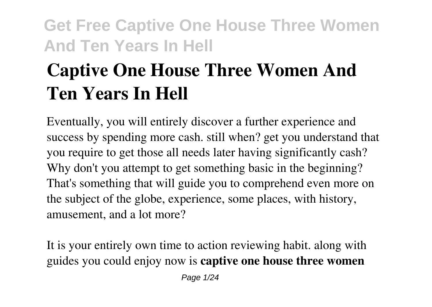# **Captive One House Three Women And Ten Years In Hell**

Eventually, you will entirely discover a further experience and success by spending more cash. still when? get you understand that you require to get those all needs later having significantly cash? Why don't you attempt to get something basic in the beginning? That's something that will guide you to comprehend even more on the subject of the globe, experience, some places, with history, amusement, and a lot more?

It is your entirely own time to action reviewing habit. along with guides you could enjoy now is **captive one house three women**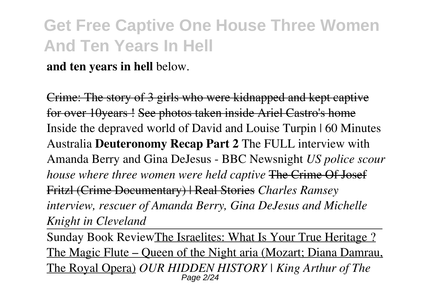**and ten years in hell** below.

Crime: The story of 3 girls who were kidnapped and kept captive for over 10years ! See photos taken inside Ariel Castro's home Inside the depraved world of David and Louise Turpin | 60 Minutes Australia **Deuteronomy Recap Part 2** The FULL interview with Amanda Berry and Gina DeJesus - BBC Newsnight *US police scour house where three women were held captive* The Crime Of Josef Fritzl (Crime Documentary) | Real Stories *Charles Ramsey interview, rescuer of Amanda Berry, Gina DeJesus and Michelle Knight in Cleveland*

Sunday Book ReviewThe Israelites: What Is Your True Heritage ? The Magic Flute – Queen of the Night aria (Mozart; Diana Damrau, The Royal Opera) *OUR HIDDEN HISTORY | King Arthur of The* Page 2/24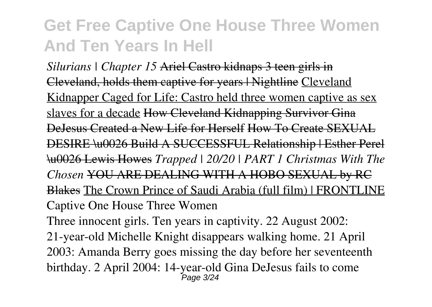*Silurians | Chapter 15* Ariel Castro kidnaps 3 teen girls in Cleveland, holds them captive for years | Nightline Cleveland Kidnapper Caged for Life: Castro held three women captive as sex slaves for a decade How Cleveland Kidnapping Survivor Gina DeJesus Created a New Life for Herself How To Create SEXUAL DESIRE \u0026 Build A SUCCESSFUL Relationship | Esther Perel \u0026 Lewis Howes *Trapped | 20/20 | PART 1 Christmas With The Chosen* YOU ARE DEALING WITH A HOBO SEXUAL by RC Blakes The Crown Prince of Saudi Arabia (full film) | FRONTLINE Captive One House Three Women

Three innocent girls. Ten years in captivity. 22 August 2002: 21-year-old Michelle Knight disappears walking home. 21 April 2003: Amanda Berry goes missing the day before her seventeenth birthday. 2 April 2004: 14-year-old Gina DeJesus fails to come Page 3/24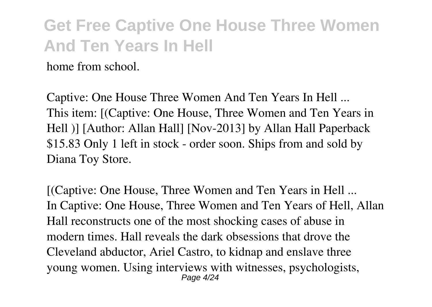home from school.

Captive: One House Three Women And Ten Years In Hell ... This item: [(Captive: One House, Three Women and Ten Years in Hell )] [Author: Allan Hall] [Nov-2013] by Allan Hall Paperback \$15.83 Only 1 left in stock - order soon. Ships from and sold by Diana Toy Store.

[(Captive: One House, Three Women and Ten Years in Hell ... In Captive: One House, Three Women and Ten Years of Hell, Allan Hall reconstructs one of the most shocking cases of abuse in modern times. Hall reveals the dark obsessions that drove the Cleveland abductor, Ariel Castro, to kidnap and enslave three young women. Using interviews with witnesses, psychologists, Page 4/24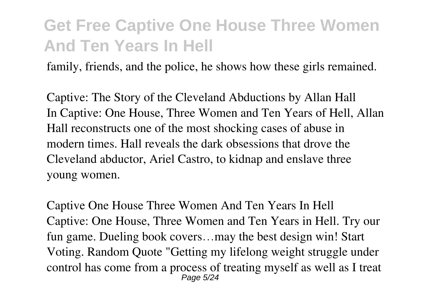family, friends, and the police, he shows how these girls remained.

Captive: The Story of the Cleveland Abductions by Allan Hall In Captive: One House, Three Women and Ten Years of Hell, Allan Hall reconstructs one of the most shocking cases of abuse in modern times. Hall reveals the dark obsessions that drove the Cleveland abductor, Ariel Castro, to kidnap and enslave three young women.

Captive One House Three Women And Ten Years In Hell Captive: One House, Three Women and Ten Years in Hell. Try our fun game. Dueling book covers…may the best design win! Start Voting. Random Quote "Getting my lifelong weight struggle under control has come from a process of treating myself as well as I treat Page 5/24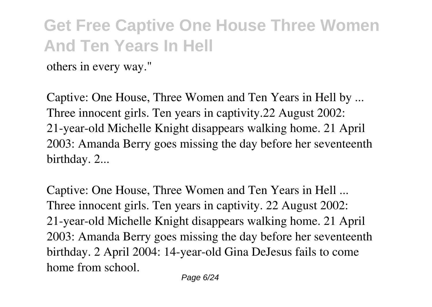others in every way."

Captive: One House, Three Women and Ten Years in Hell by ... Three innocent girls. Ten years in captivity.22 August 2002: 21-year-old Michelle Knight disappears walking home. 21 April 2003: Amanda Berry goes missing the day before her seventeenth birthday. 2...

Captive: One House, Three Women and Ten Years in Hell ... Three innocent girls. Ten years in captivity. 22 August 2002: 21-year-old Michelle Knight disappears walking home. 21 April 2003: Amanda Berry goes missing the day before her seventeenth birthday. 2 April 2004: 14-year-old Gina DeJesus fails to come home from school.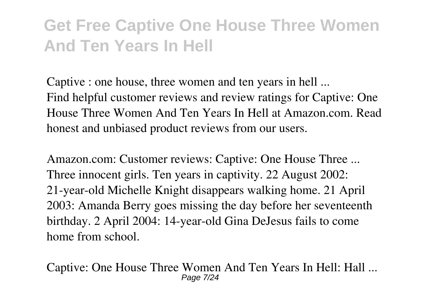Captive : one house, three women and ten years in hell ... Find helpful customer reviews and review ratings for Captive: One House Three Women And Ten Years In Hell at Amazon.com. Read honest and unbiased product reviews from our users.

Amazon.com: Customer reviews: Captive: One House Three ... Three innocent girls. Ten years in captivity. 22 August 2002: 21-year-old Michelle Knight disappears walking home. 21 April 2003: Amanda Berry goes missing the day before her seventeenth birthday. 2 April 2004: 14-year-old Gina DeJesus fails to come home from school.

Captive: One House Three Women And Ten Years In Hell: Hall ... Page 7/24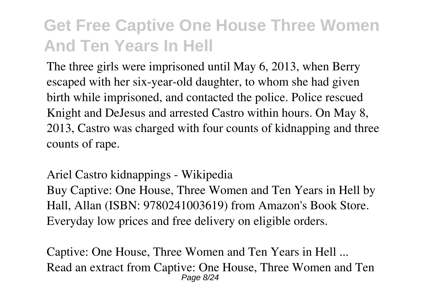The three girls were imprisoned until May 6, 2013, when Berry escaped with her six-year-old daughter, to whom she had given birth while imprisoned, and contacted the police. Police rescued Knight and DeJesus and arrested Castro within hours. On May 8, 2013, Castro was charged with four counts of kidnapping and three counts of rape.

Ariel Castro kidnappings - Wikipedia

Buy Captive: One House, Three Women and Ten Years in Hell by Hall, Allan (ISBN: 9780241003619) from Amazon's Book Store. Everyday low prices and free delivery on eligible orders.

Captive: One House, Three Women and Ten Years in Hell ... Read an extract from Captive: One House, Three Women and Ten Page 8/24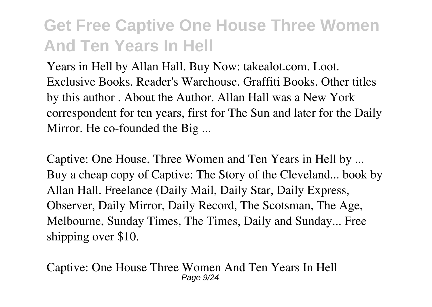Years in Hell by Allan Hall. Buy Now: takealot.com. Loot. Exclusive Books. Reader's Warehouse. Graffiti Books. Other titles by this author . About the Author. Allan Hall was a New York correspondent for ten years, first for The Sun and later for the Daily Mirror. He co-founded the Big ...

Captive: One House, Three Women and Ten Years in Hell by ... Buy a cheap copy of Captive: The Story of the Cleveland... book by Allan Hall. Freelance (Daily Mail, Daily Star, Daily Express, Observer, Daily Mirror, Daily Record, The Scotsman, The Age, Melbourne, Sunday Times, The Times, Daily and Sunday... Free shipping over \$10.

Captive: One House Three Women And Ten Years In Hell Page  $9/24$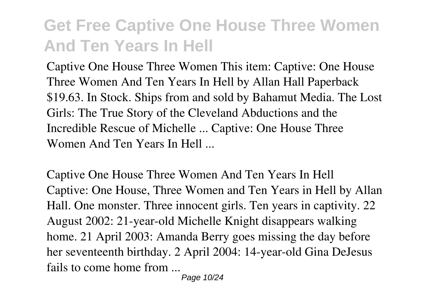Captive One House Three Women This item: Captive: One House Three Women And Ten Years In Hell by Allan Hall Paperback \$19.63. In Stock. Ships from and sold by Bahamut Media. The Lost Girls: The True Story of the Cleveland Abductions and the Incredible Rescue of Michelle ... Captive: One House Three Women And Ten Years In Hell ...

Captive One House Three Women And Ten Years In Hell Captive: One House, Three Women and Ten Years in Hell by Allan Hall. One monster. Three innocent girls. Ten years in captivity. 22 August 2002: 21-year-old Michelle Knight disappears walking home. 21 April 2003: Amanda Berry goes missing the day before her seventeenth birthday. 2 April 2004: 14-year-old Gina DeJesus fails to come home from ...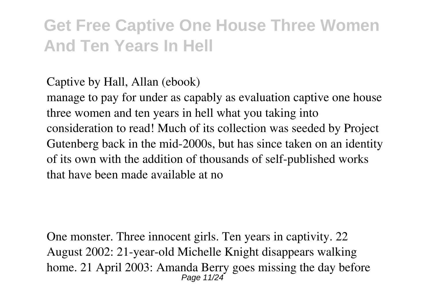Captive by Hall, Allan (ebook)

manage to pay for under as capably as evaluation captive one house three women and ten years in hell what you taking into consideration to read! Much of its collection was seeded by Project Gutenberg back in the mid-2000s, but has since taken on an identity of its own with the addition of thousands of self-published works that have been made available at no

One monster. Three innocent girls. Ten years in captivity. 22 August 2002: 21-year-old Michelle Knight disappears walking home. 21 April 2003: Amanda Berry goes missing the day before Page 11/24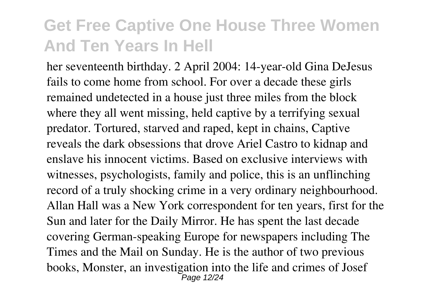her seventeenth birthday. 2 April 2004: 14-year-old Gina DeJesus fails to come home from school. For over a decade these girls remained undetected in a house just three miles from the block where they all went missing, held captive by a terrifying sexual predator. Tortured, starved and raped, kept in chains, Captive reveals the dark obsessions that drove Ariel Castro to kidnap and enslave his innocent victims. Based on exclusive interviews with witnesses, psychologists, family and police, this is an unflinching record of a truly shocking crime in a very ordinary neighbourhood. Allan Hall was a New York correspondent for ten years, first for the Sun and later for the Daily Mirror. He has spent the last decade covering German-speaking Europe for newspapers including The Times and the Mail on Sunday. He is the author of two previous books, Monster, an investigation into the life and crimes of Josef Page 12/24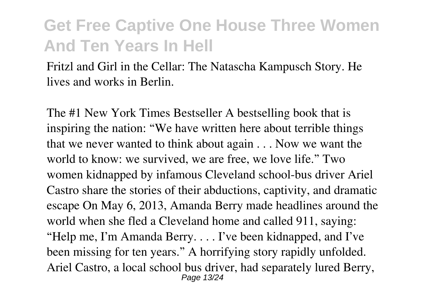Fritzl and Girl in the Cellar: The Natascha Kampusch Story. He lives and works in Berlin.

The #1 New York Times Bestseller A bestselling book that is inspiring the nation: "We have written here about terrible things that we never wanted to think about again . . . Now we want the world to know: we survived, we are free, we love life." Two women kidnapped by infamous Cleveland school-bus driver Ariel Castro share the stories of their abductions, captivity, and dramatic escape On May 6, 2013, Amanda Berry made headlines around the world when she fled a Cleveland home and called 911, saying: "Help me, I'm Amanda Berry. . . . I've been kidnapped, and I've been missing for ten years." A horrifying story rapidly unfolded. Ariel Castro, a local school bus driver, had separately lured Berry, Page 13/24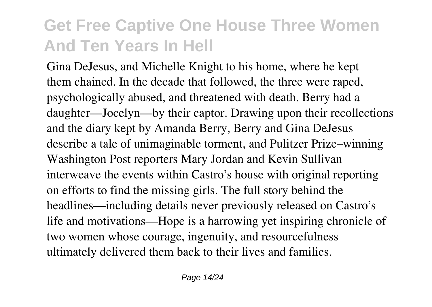Gina DeJesus, and Michelle Knight to his home, where he kept them chained. In the decade that followed, the three were raped, psychologically abused, and threatened with death. Berry had a daughter—Jocelyn—by their captor. Drawing upon their recollections and the diary kept by Amanda Berry, Berry and Gina DeJesus describe a tale of unimaginable torment, and Pulitzer Prize–winning Washington Post reporters Mary Jordan and Kevin Sullivan interweave the events within Castro's house with original reporting on efforts to find the missing girls. The full story behind the headlines—including details never previously released on Castro's life and motivations—Hope is a harrowing yet inspiring chronicle of two women whose courage, ingenuity, and resourcefulness ultimately delivered them back to their lives and families.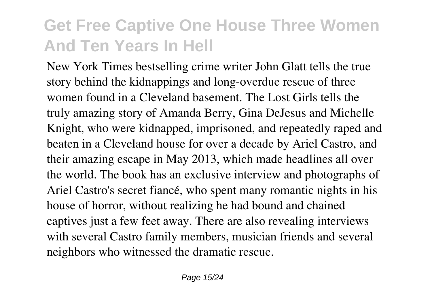New York Times bestselling crime writer John Glatt tells the true story behind the kidnappings and long-overdue rescue of three women found in a Cleveland basement. The Lost Girls tells the truly amazing story of Amanda Berry, Gina DeJesus and Michelle Knight, who were kidnapped, imprisoned, and repeatedly raped and beaten in a Cleveland house for over a decade by Ariel Castro, and their amazing escape in May 2013, which made headlines all over the world. The book has an exclusive interview and photographs of Ariel Castro's secret fiancé, who spent many romantic nights in his house of horror, without realizing he had bound and chained captives just a few feet away. There are also revealing interviews with several Castro family members, musician friends and several neighbors who witnessed the dramatic rescue.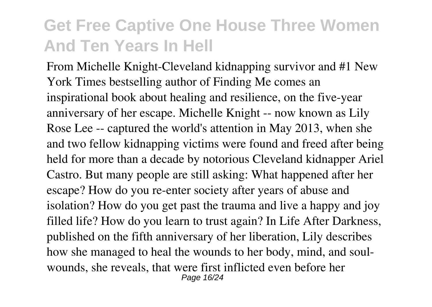From Michelle Knight-Cleveland kidnapping survivor and #1 New York Times bestselling author of Finding Me comes an inspirational book about healing and resilience, on the five-year anniversary of her escape. Michelle Knight -- now known as Lily Rose Lee -- captured the world's attention in May 2013, when she and two fellow kidnapping victims were found and freed after being held for more than a decade by notorious Cleveland kidnapper Ariel Castro. But many people are still asking: What happened after her escape? How do you re-enter society after years of abuse and isolation? How do you get past the trauma and live a happy and joy filled life? How do you learn to trust again? In Life After Darkness, published on the fifth anniversary of her liberation, Lily describes how she managed to heal the wounds to her body, mind, and soulwounds, she reveals, that were first inflicted even before her Page 16/24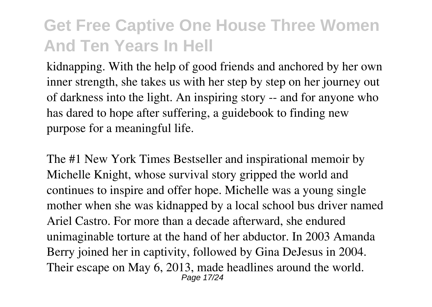kidnapping. With the help of good friends and anchored by her own inner strength, she takes us with her step by step on her journey out of darkness into the light. An inspiring story -- and for anyone who has dared to hope after suffering, a guidebook to finding new purpose for a meaningful life.

The #1 New York Times Bestseller and inspirational memoir by Michelle Knight, whose survival story gripped the world and continues to inspire and offer hope. Michelle was a young single mother when she was kidnapped by a local school bus driver named Ariel Castro. For more than a decade afterward, she endured unimaginable torture at the hand of her abductor. In 2003 Amanda Berry joined her in captivity, followed by Gina DeJesus in 2004. Their escape on May 6, 2013, made headlines around the world. Page 17/24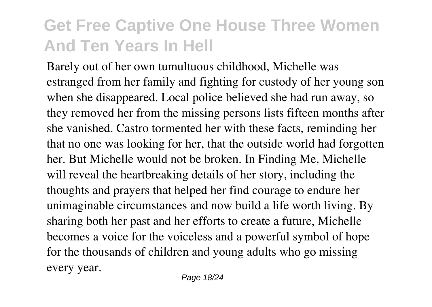Barely out of her own tumultuous childhood, Michelle was estranged from her family and fighting for custody of her young son when she disappeared. Local police believed she had run away, so they removed her from the missing persons lists fifteen months after she vanished. Castro tormented her with these facts, reminding her that no one was looking for her, that the outside world had forgotten her. But Michelle would not be broken. In Finding Me, Michelle will reveal the heartbreaking details of her story, including the thoughts and prayers that helped her find courage to endure her unimaginable circumstances and now build a life worth living. By sharing both her past and her efforts to create a future, Michelle becomes a voice for the voiceless and a powerful symbol of hope for the thousands of children and young adults who go missing every year.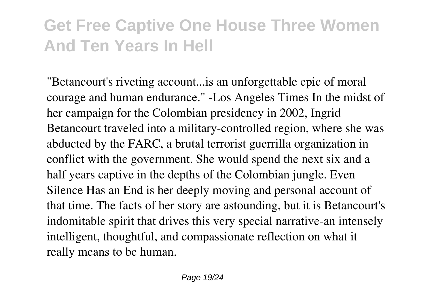"Betancourt's riveting account...is an unforgettable epic of moral courage and human endurance." -Los Angeles Times In the midst of her campaign for the Colombian presidency in 2002, Ingrid Betancourt traveled into a military-controlled region, where she was abducted by the FARC, a brutal terrorist guerrilla organization in conflict with the government. She would spend the next six and a half years captive in the depths of the Colombian jungle. Even Silence Has an End is her deeply moving and personal account of that time. The facts of her story are astounding, but it is Betancourt's indomitable spirit that drives this very special narrative-an intensely intelligent, thoughtful, and compassionate reflection on what it really means to be human.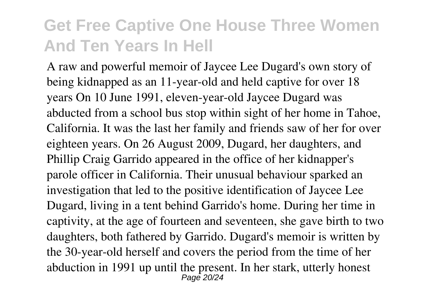A raw and powerful memoir of Jaycee Lee Dugard's own story of being kidnapped as an 11-year-old and held captive for over 18 years On 10 June 1991, eleven-year-old Jaycee Dugard was abducted from a school bus stop within sight of her home in Tahoe, California. It was the last her family and friends saw of her for over eighteen years. On 26 August 2009, Dugard, her daughters, and Phillip Craig Garrido appeared in the office of her kidnapper's parole officer in California. Their unusual behaviour sparked an investigation that led to the positive identification of Jaycee Lee Dugard, living in a tent behind Garrido's home. During her time in captivity, at the age of fourteen and seventeen, she gave birth to two daughters, both fathered by Garrido. Dugard's memoir is written by the 30-year-old herself and covers the period from the time of her abduction in 1991 up until the present. In her stark, utterly honest Page 20/24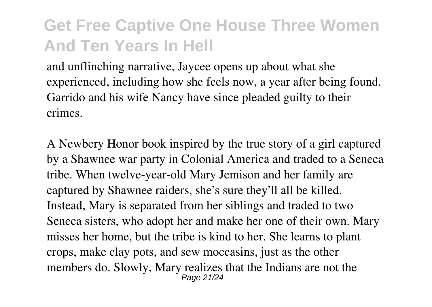and unflinching narrative, Jaycee opens up about what she experienced, including how she feels now, a year after being found. Garrido and his wife Nancy have since pleaded guilty to their crimes.

A Newbery Honor book inspired by the true story of a girl captured by a Shawnee war party in Colonial America and traded to a Seneca tribe. When twelve-year-old Mary Jemison and her family are captured by Shawnee raiders, she's sure they'll all be killed. Instead, Mary is separated from her siblings and traded to two Seneca sisters, who adopt her and make her one of their own. Mary misses her home, but the tribe is kind to her. She learns to plant crops, make clay pots, and sew moccasins, just as the other members do. Slowly, Mary realizes that the Indians are not the Page 21/24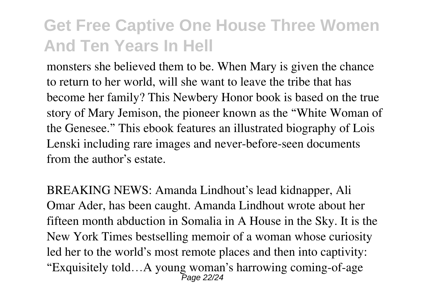monsters she believed them to be. When Mary is given the chance to return to her world, will she want to leave the tribe that has become her family? This Newbery Honor book is based on the true story of Mary Jemison, the pioneer known as the "White Woman of the Genesee." This ebook features an illustrated biography of Lois Lenski including rare images and never-before-seen documents from the author's estate.

BREAKING NEWS: Amanda Lindhout's lead kidnapper, Ali Omar Ader, has been caught. Amanda Lindhout wrote about her fifteen month abduction in Somalia in A House in the Sky. It is the New York Times bestselling memoir of a woman whose curiosity led her to the world's most remote places and then into captivity: "Exquisitely told…A young woman's harrowing coming-of-age Page 22/24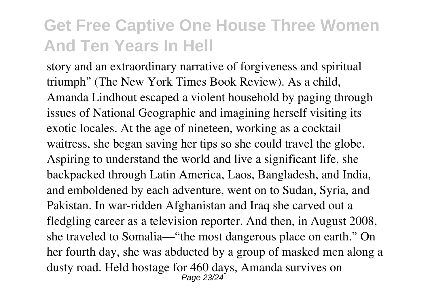story and an extraordinary narrative of forgiveness and spiritual triumph" (The New York Times Book Review). As a child, Amanda Lindhout escaped a violent household by paging through issues of National Geographic and imagining herself visiting its exotic locales. At the age of nineteen, working as a cocktail waitress, she began saving her tips so she could travel the globe. Aspiring to understand the world and live a significant life, she backpacked through Latin America, Laos, Bangladesh, and India, and emboldened by each adventure, went on to Sudan, Syria, and Pakistan. In war-ridden Afghanistan and Iraq she carved out a fledgling career as a television reporter. And then, in August 2008, she traveled to Somalia—"the most dangerous place on earth." On her fourth day, she was abducted by a group of masked men along a dusty road. Held hostage for 460 days, Amanda survives on Page 23/24